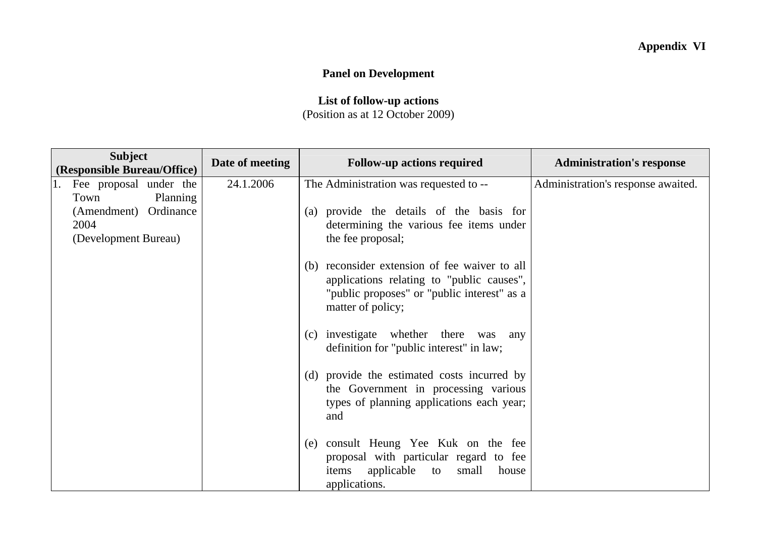## **Panel on Development**

## **List of follow-up actions**  (Position as at 12 October 2009)

| <b>Subject</b><br>(Responsible Bureau/Office)                             | Date of meeting | <b>Follow-up actions required</b>                                                                                                                              | <b>Administration's response</b>   |
|---------------------------------------------------------------------------|-----------------|----------------------------------------------------------------------------------------------------------------------------------------------------------------|------------------------------------|
| 1. Fee proposal under the                                                 | 24.1.2006       | The Administration was requested to --                                                                                                                         | Administration's response awaited. |
| Town<br>Planning<br>(Amendment) Ordinance<br>2004<br>(Development Bureau) |                 | (a) provide the details of the basis for<br>determining the various fee items under<br>the fee proposal;                                                       |                                    |
|                                                                           |                 | (b) reconsider extension of fee waiver to all<br>applications relating to "public causes",<br>"public proposes" or "public interest" as a<br>matter of policy; |                                    |
|                                                                           |                 | (c) investigate whether there was any<br>definition for "public interest" in law;                                                                              |                                    |
|                                                                           |                 | (d) provide the estimated costs incurred by<br>the Government in processing various<br>types of planning applications each year;<br>and                        |                                    |
|                                                                           |                 | (e) consult Heung Yee Kuk on the fee<br>proposal with particular regard to fee<br>items applicable to<br>small<br>house<br>applications.                       |                                    |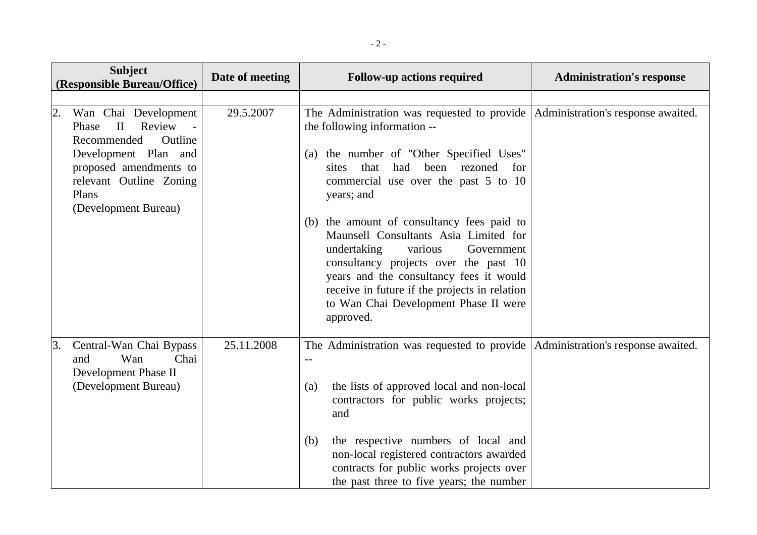|                  | <b>Subject</b><br>(Responsible Bureau/Office)                         | Date of meeting | <b>Follow-up actions required</b>                                                                                                                                                                                                                                                                                      | <b>Administration's response</b> |
|------------------|-----------------------------------------------------------------------|-----------------|------------------------------------------------------------------------------------------------------------------------------------------------------------------------------------------------------------------------------------------------------------------------------------------------------------------------|----------------------------------|
| $\overline{2}$ . | Wan Chai Development                                                  | 29.5.2007       | The Administration was requested to provide   Administration's response awaited.                                                                                                                                                                                                                                       |                                  |
|                  | $\mathbf{H}$<br>Review<br>Phase<br>Recommended<br>Outline             |                 | the following information --                                                                                                                                                                                                                                                                                           |                                  |
|                  | Development Plan and<br>proposed amendments to                        |                 | (a) the number of "Other Specified Uses"<br>that<br>had<br>been<br>rezoned<br>sites<br>for                                                                                                                                                                                                                             |                                  |
|                  | relevant Outline Zoning<br>Plans<br>(Development Bureau)              |                 | commercial use over the past 5 to 10<br>years; and                                                                                                                                                                                                                                                                     |                                  |
|                  |                                                                       |                 | (b) the amount of consultancy fees paid to<br>Maunsell Consultants Asia Limited for<br>undertaking<br>various<br>Government<br>consultancy projects over the past 10<br>years and the consultancy fees it would<br>receive in future if the projects in relation<br>to Wan Chai Development Phase II were<br>approved. |                                  |
| 3.               | Central-Wan Chai Bypass<br>Chai<br>Wan<br>and<br>Development Phase II | 25.11.2008      | The Administration was requested to provide Administration's response awaited.<br>$-$                                                                                                                                                                                                                                  |                                  |
|                  | (Development Bureau)                                                  |                 | the lists of approved local and non-local<br>(a)<br>contractors for public works projects;<br>and                                                                                                                                                                                                                      |                                  |
|                  |                                                                       |                 | the respective numbers of local and<br>(b)<br>non-local registered contractors awarded<br>contracts for public works projects over<br>the past three to five years; the number                                                                                                                                         |                                  |